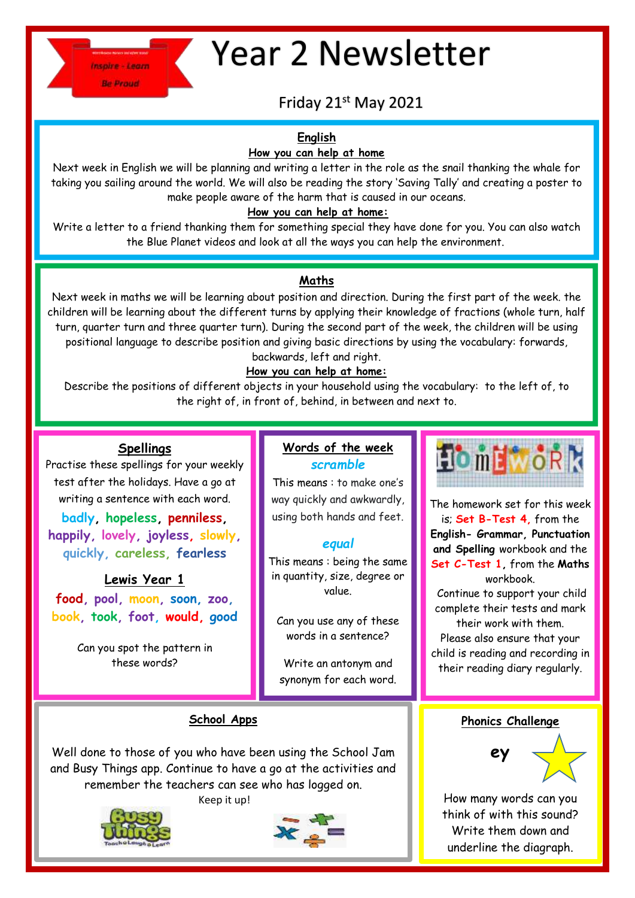

# Year 2 Newsletter

# Friday 21st May 2021

# **English**

## **How you can help at home**

Next week in English we will be planning and writing a letter in the role as the snail thanking the whale for taking you sailing around the world. We will also be reading the story 'Saving Tally' and creating a poster to make people aware of the harm that is caused in our oceans.

## **How you can help at home:**

Write a letter to a friend thanking them for something special they have done for you. You can also watch the Blue Planet videos and look at all the ways you can help the environment.

# **Maths**

Next week in maths we will be learning about position and direction. During the first part of the week. the children will be learning about the different turns by applying their knowledge of fractions (whole turn, half turn, quarter turn and three quarter turn). During the second part of the week, the children will be using positional language to describe position and giving basic directions by using the vocabulary: forwards, backwards, left and right.

# **How you can help at home:**

Describe the positions of different objects in your household using the vocabulary: to the left of, to the right of, in front of, behind, in between and next to.

# **Spellings**

Practise these spellings for your weekly test after the holidays. Have a go at writing a sentence with each word.

**badly, hopeless, penniless, happily, lovely, joyless, slowly, quickly, careless, fearless**

# **Lewis Year 1**

**food, pool, moon, soon, zoo, book, took, foot, would, good**

> Can you spot the pattern in these words?

## **Words of the week** *scramble*

This means : to make one's way quickly and awkwardly, using both hands and feet.

# *equal*

This means : being the same in quantity, size, degree or value.

Can you use any of these words in a sentence?

Write an antonym and synonym for each word.



The homework set for this week is; **Set B-Test 4,** from the **English- Grammar, Punctuation and Spelling** workbook and the **Set C-Test 1,** from the **Maths** workbook. Continue to support your child complete their tests and mark their work with them.

Please also ensure that your child is reading and recording in their reading diary regularly.

# **School Apps**

Well done to those of you who have been using the School Jam and Busy Things app. Continue to have a go at the activities and remember the teachers can see who has logged on.

Keep it up!



j



**Phonics Challenge**



How many words can you think of with this sound? Write them down and underline the diagraph.